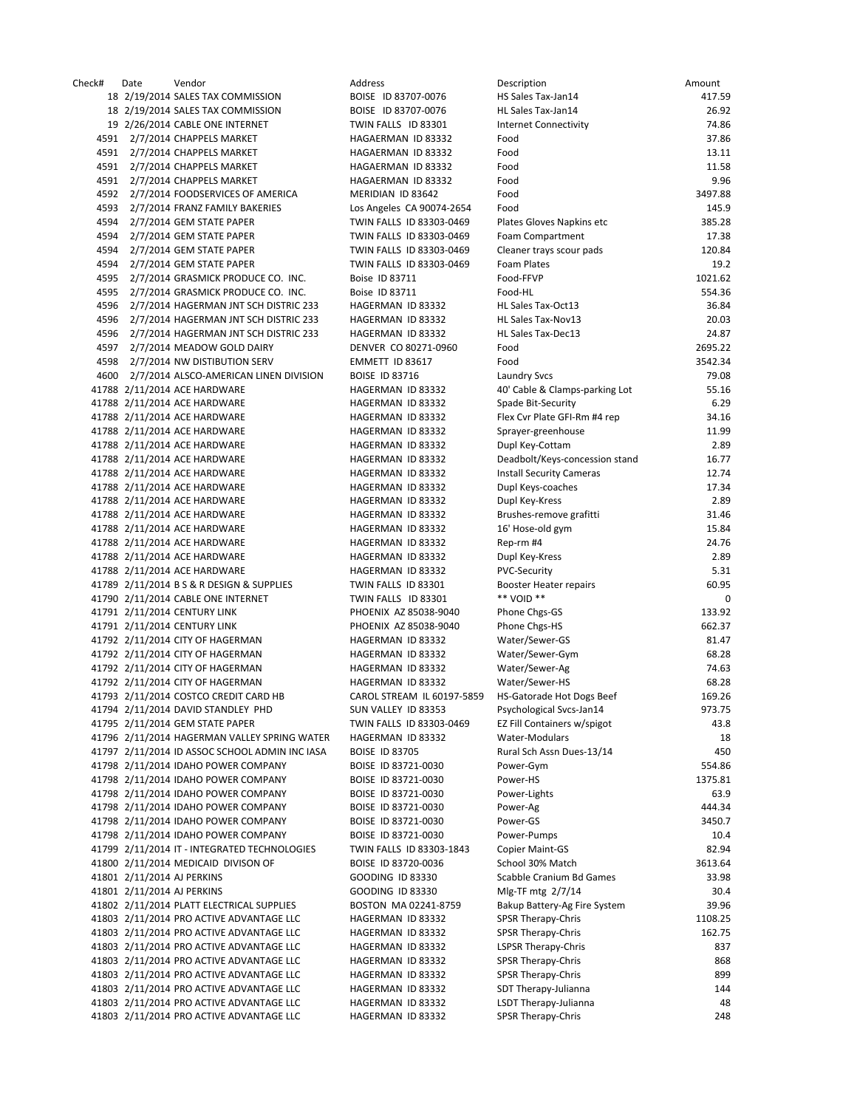|     | Date                     | Vendor                                                         | Address                                      | Description                                 | Amount      |
|-----|--------------------------|----------------------------------------------------------------|----------------------------------------------|---------------------------------------------|-------------|
|     |                          | 18 2/19/2014 SALES TAX COMMISSION                              | BOISE ID 83707-0076                          | HS Sales Tax-Jan14                          | 417.59      |
|     |                          | 18 2/19/2014 SALES TAX COMMISSION                              | BOISE ID 83707-0076                          | HL Sales Tax-Jan14                          | 26.92       |
|     |                          | 19 2/26/2014 CABLE ONE INTERNET                                | TWIN FALLS ID 83301                          | <b>Internet Connectivity</b>                | 74.86       |
|     |                          | 591 2/7/2014 CHAPPELS MARKET                                   | HAGAERMAN ID 83332                           | Food                                        | 37.86       |
|     |                          | 591 2/7/2014 CHAPPELS MARKET                                   | HAGAERMAN ID 83332                           | Food                                        | 13.11       |
|     |                          | 591 2/7/2014 CHAPPELS MARKET                                   | HAGAERMAN ID 83332                           | Food                                        | 11.58       |
|     |                          | 591 2/7/2014 CHAPPELS MARKET                                   | HAGAERMAN ID 83332                           | Food                                        | 9.96        |
| 592 |                          | 2/7/2014 FOODSERVICES OF AMERICA                               | MERIDIAN ID 83642                            | Food                                        | 3497.88     |
|     |                          | 593 2/7/2014 FRANZ FAMILY BAKERIES                             | Los Angeles CA 90074-2654                    | Food                                        | 145.9       |
| 594 |                          | 2/7/2014 GEM STATE PAPER                                       | TWIN FALLS ID 83303-0469                     | Plates Gloves Napkins etc                   | 385.28      |
| 594 |                          | 2/7/2014 GEM STATE PAPER                                       | TWIN FALLS ID 83303-0469                     | Foam Compartment                            | 17.38       |
| 594 |                          | 2/7/2014 GEM STATE PAPER                                       | TWIN FALLS ID 83303-0469                     | Cleaner trays scour pads                    | 120.84      |
| 594 |                          | 2/7/2014 GEM STATE PAPER                                       | TWIN FALLS ID 83303-0469                     | Foam Plates                                 | 19.2        |
| 595 |                          | 2/7/2014 GRASMICK PRODUCE CO. INC.                             | Boise ID 83711                               | Food-FFVP                                   | 1021.62     |
|     |                          | 595 2/7/2014 GRASMICK PRODUCE CO. INC.                         | Boise ID 83711                               | Food-HL                                     | 554.36      |
| 596 |                          | 2/7/2014 HAGERMAN JNT SCH DISTRIC 233                          | HAGERMAN ID 83332                            | HL Sales Tax-Oct13                          | 36.84       |
| 596 |                          | 2/7/2014 HAGERMAN JNT SCH DISTRIC 233                          | HAGERMAN ID 83332                            | HL Sales Tax-Nov13                          | 20.03       |
|     |                          | 596 2/7/2014 HAGERMAN JNT SCH DISTRIC 233                      | HAGERMAN ID 83332                            | HL Sales Tax-Dec13                          | 24.87       |
| 597 |                          | 2/7/2014 MEADOW GOLD DAIRY                                     | DENVER CO 80271-0960                         | Food                                        | 2695.22     |
| 598 |                          | 2/7/2014 NW DISTIBUTION SERV                                   | EMMETT ID 83617                              | Food                                        | 3542.34     |
|     |                          | 600 2/7/2014 ALSCO-AMERICAN LINEN DIVISION                     | <b>BOISE ID 83716</b>                        | <b>Laundry Svcs</b>                         | 79.08       |
|     |                          | 788 2/11/2014 ACE HARDWARE                                     | HAGERMAN ID 83332                            | 40' Cable & Clamps-parking Lot              | 55.16       |
|     |                          | 788 2/11/2014 ACE HARDWARE                                     | HAGERMAN ID 83332                            | Spade Bit-Security                          | 6.29        |
|     |                          | 788 2/11/2014 ACE HARDWARE                                     | HAGERMAN ID 83332                            | Flex Cvr Plate GFI-Rm #4 rep                | 34.16       |
|     |                          | 788 2/11/2014 ACE HARDWARE                                     | HAGERMAN ID 83332                            | Sprayer-greenhouse                          | 11.99       |
|     |                          | 788 2/11/2014 ACE HARDWARE                                     | HAGERMAN ID 83332                            | Dupl Key-Cottam                             | 2.89        |
|     |                          | 788 2/11/2014 ACE HARDWARE                                     | HAGERMAN ID 83332                            | Deadbolt/Keys-concession stand              | 16.77       |
|     |                          | 788 2/11/2014 ACE HARDWARE                                     | HAGERMAN ID 83332                            | <b>Install Security Cameras</b>             | 12.74       |
|     |                          | 788 2/11/2014 ACE HARDWARE                                     | HAGERMAN ID 83332                            | Dupl Keys-coaches                           | 17.34       |
|     |                          | 788 2/11/2014 ACE HARDWARE                                     | HAGERMAN ID 83332                            | Dupl Key-Kress                              | 2.89        |
|     |                          | 788 2/11/2014 ACE HARDWARE                                     | HAGERMAN ID 83332                            | Brushes-remove grafitti                     | 31.46       |
|     |                          | 788 2/11/2014 ACE HARDWARE                                     | HAGERMAN ID 83332                            | 16' Hose-old gym                            | 15.84       |
|     |                          | 788 2/11/2014 ACE HARDWARE                                     | HAGERMAN ID 83332                            | Rep-rm #4                                   | 24.76       |
|     |                          | 788 2/11/2014 ACE HARDWARE                                     | HAGERMAN ID 83332                            | Dupl Key-Kress                              | 2.89        |
|     |                          | 788 2/11/2014 ACE HARDWARE                                     | HAGERMAN ID 83332                            | <b>PVC-Security</b>                         | 5.31        |
|     |                          | 789 2/11/2014 B S & R DESIGN & SUPPLIES                        | TWIN FALLS ID 83301                          | <b>Booster Heater repairs</b><br>** VOID ** | 60.95       |
|     |                          | 790 2/11/2014 CABLE ONE INTERNET<br>791 2/11/2014 CENTURY LINK | TWIN FALLS ID 83301<br>PHOENIX AZ 85038-9040 |                                             | 0<br>133.92 |
|     |                          | 791 2/11/2014 CENTURY LINK                                     | PHOENIX AZ 85038-9040                        | Phone Chgs-GS<br>Phone Chgs-HS              | 662.37      |
|     |                          | 792 2/11/2014 CITY OF HAGERMAN                                 | HAGERMAN ID 83332                            | Water/Sewer-GS                              | 81.47       |
|     |                          | 792 2/11/2014 CITY OF HAGERMAN                                 | HAGERMAN ID 83332                            | Water/Sewer-Gym                             | 68.28       |
|     |                          | 792 2/11/2014 CITY OF HAGERMAN                                 | HAGERMAN ID 83332                            | Water/Sewer-Ag                              | 74.63       |
|     |                          | 792 2/11/2014 CITY OF HAGERMAN                                 | HAGERMAN ID 83332                            | Water/Sewer-HS                              | 68.28       |
|     |                          | 793 2/11/2014 COSTCO CREDIT CARD HB                            | CAROL STREAM IL 60197-5859                   | HS-Gatorade Hot Dogs Beef                   | 169.26      |
|     |                          | 794 2/11/2014 DAVID STANDLEY PHD                               | SUN VALLEY ID 83353                          | Psychological Svcs-Jan14                    | 973.75      |
|     |                          | 795 2/11/2014 GEM STATE PAPER                                  | TWIN FALLS ID 83303-0469                     | EZ Fill Containers w/spigot                 | 43.8        |
|     |                          | 796 2/11/2014 HAGERMAN VALLEY SPRING WATER                     | HAGERMAN ID 83332                            | Water-Modulars                              | 18          |
|     |                          | 797 2/11/2014 ID ASSOC SCHOOL ADMIN INC IASA                   | <b>BOISE ID 83705</b>                        | Rural Sch Assn Dues-13/14                   | 450         |
|     |                          | 798 2/11/2014 IDAHO POWER COMPANY                              | BOISE ID 83721-0030                          | Power-Gym                                   | 554.86      |
|     |                          | 798 2/11/2014 IDAHO POWER COMPANY                              | BOISE ID 83721-0030                          | Power-HS                                    | 1375.81     |
|     |                          | 798 2/11/2014 IDAHO POWER COMPANY                              | BOISE ID 83721-0030                          | Power-Lights                                | 63.9        |
|     |                          | 798 2/11/2014 IDAHO POWER COMPANY                              | BOISE ID 83721-0030                          | Power-Ag                                    | 444.34      |
|     |                          | 798 2/11/2014 IDAHO POWER COMPANY                              | BOISE ID 83721-0030                          | Power-GS                                    | 3450.7      |
|     |                          | 798 2/11/2014 IDAHO POWER COMPANY                              | BOISE ID 83721-0030                          | Power-Pumps                                 | 10.4        |
|     |                          | 799 2/11/2014 IT - INTEGRATED TECHNOLOGIES                     | TWIN FALLS ID 83303-1843                     | Copier Maint-GS                             | 82.94       |
|     |                          | 300 2/11/2014 MEDICAID DIVISON OF                              | BOISE ID 83720-0036                          | School 30% Match                            | 3613.64     |
|     | 801 2/11/2014 AJ PERKINS |                                                                | <b>GOODING ID 83330</b>                      | Scabble Cranium Bd Games                    | 33.98       |
|     | 301 2/11/2014 AJ PERKINS |                                                                | <b>GOODING ID 83330</b>                      | Mlg-TF mtg 2/7/14                           | 30.4        |
|     |                          | 802 2/11/2014 PLATT ELECTRICAL SUPPLIES                        | BOSTON MA 02241-8759                         | Bakup Battery-Ag Fire System                | 39.96       |
|     |                          | 303 2/11/2014 PRO ACTIVE ADVANTAGE LLC                         | HAGERMAN ID 83332                            | <b>SPSR Therapy-Chris</b>                   | 1108.25     |
|     |                          | 303 2/11/2014 PRO ACTIVE ADVANTAGE LLC                         | HAGERMAN ID 83332                            | <b>SPSR Therapy-Chris</b>                   | 162.75      |
|     |                          | 303 2/11/2014 PRO ACTIVE ADVANTAGE LLC                         | HAGERMAN ID 83332                            | <b>LSPSR Therapy-Chris</b>                  | 837         |
|     |                          | 303 2/11/2014 PRO ACTIVE ADVANTAGE LLC                         | HAGERMAN ID 83332                            | SPSR Therapy-Chris                          | 868         |
|     |                          | 303 2/11/2014 PRO ACTIVE ADVANTAGE LLC                         | HAGERMAN ID 83332                            | SPSR Therapy-Chris                          | 899         |
|     |                          | 303 2/11/2014 PRO ACTIVE ADVANTAGE LLC                         | HAGERMAN ID 83332                            | SDT Therapy-Julianna                        | 144         |
|     |                          | 303 2/11/2014 PRO ACTIVE ADVANTAGE LLC                         | HAGERMAN ID 83332                            | LSDT Therapy-Julianna                       | 48          |
|     |                          | 803 2/11/2014 PRO ACTIVE ADVANTAGE LLC                         | HAGERMAN ID 83332                            | <b>SPSR Therapy-Chris</b>                   | 248         |
|     |                          |                                                                |                                              |                                             |             |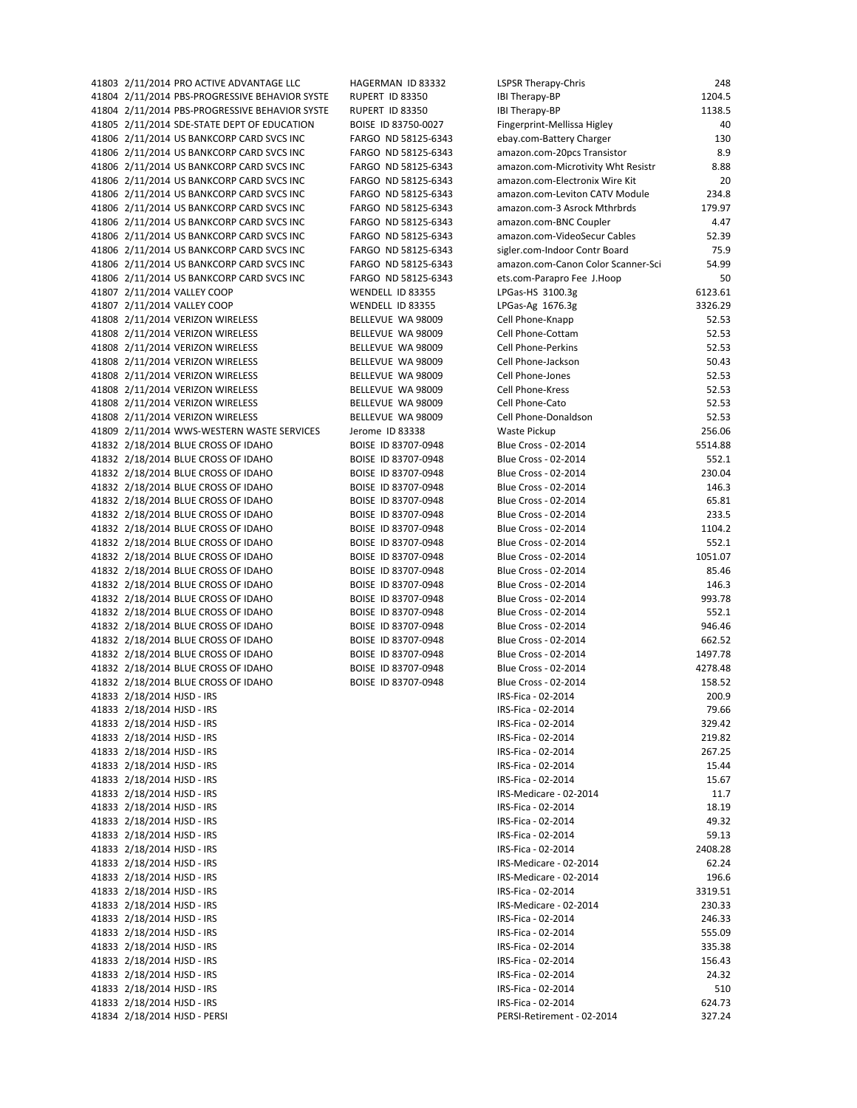41804 2/11/2014 PBS-PROGRESSIVE BEHAVIOR SYSTE RUPERT ID 83350 41804 2/11/2014 PBS-PROGRESSIVE BEHAVIOR SYSTE RUPERT ID 83350 41805 2/11/2014 SDE-STATE DEPT OF EDUCATION BOISE ID 83750-0027 41806 2/11/2014 US BANKCORP CARD SVCS INC FARGO ND 58125-6343 41806 2/11/2014 US BANKCORP CARD SVCS INC FARGO ND 58125-6343 41806 2/11/2014 US BANKCORP CARD SVCS INC FARGO ND 58125-6343 41806 2/11/2014 US BANKCORP CARD SVCS INC FARGO ND 58125-6343 41806 2/11/2014 US BANKCORP CARD SVCS INC FARGO ND 58125-6343 41806 2/11/2014 US BANKCORP CARD SVCS INC FARGO ND 58125-6343 41806 2/11/2014 US BANKCORP CARD SVCS INC FARGO ND 58125-6343 41806 2/11/2014 US BANKCORP CARD SVCS INC FARGO ND 58125-6343 41806 2/11/2014 US BANKCORP CARD SVCS INC FARGO ND 58125-6343 41806 2/11/2014 US BANKCORP CARD SVCS INC FARGO ND 58125-6343 41806 2/11/2014 US BANKCORP CARD SVCS INC FARGO ND 58125-6343 41807 2/11/2014 VALLEY COOP WENDELL ID 83355 41807 2/11/2014 VALLEY COOP WENDELL ID 83355 41808 2/11/2014 VERIZON WIRELESS BELLEVUE WA 98009 41808 2/11/2014 VERIZON WIRELESS BELLEVUE WA 98009 41808 2/11/2014 VERIZON WIRELESS BELLEVUE WA 98009 41808 2/11/2014 VERIZON WIRELESS BELLEVUE WA 98009 41808 2/11/2014 VERIZON WIRELESS BELLEVUE WA 98009 41808 2/11/2014 VERIZON WIRELESS BELLEVUE WA 98009 41808 2/11/2014 VERIZON WIRELESS BELLEVUE WA 98009 41808 2/11/2014 VERIZON WIRELESS BELLEVUE WA 98009 41809 2/11/2014 WWS-WESTERN WASTE SERVICES Jerome ID 83338 41832 2/18/2014 BLUE CROSS OF IDAHO BOISE ID 83707-0948 41832 2/18/2014 BLUE CROSS OF IDAHO BOISE ID 83707-0948 41832 2/18/2014 BLUE CROSS OF IDAHO BOISE ID 83707-0948 41832 2/18/2014 BLUE CROSS OF IDAHO BOISE ID 83707-0948 41832 2/18/2014 BLUE CROSS OF IDAHO BOISE ID 83707-0948 41832 2/18/2014 BLUE CROSS OF IDAHO BOISE ID 83707-0948 41832 2/18/2014 BLUE CROSS OF IDAHO BOISE ID 83707-0948 41832 2/18/2014 BLUE CROSS OF IDAHO BOISE ID 83707-0948 41832 2/18/2014 BLUE CROSS OF IDAHO BOISE ID 83707-0948 41832 2/18/2014 BLUE CROSS OF IDAHO BOISE ID 83707-0948 41832 2/18/2014 BLUE CROSS OF IDAHO BOISE ID 83707-0948 41832 2/18/2014 BLUE CROSS OF IDAHO BOISE ID 83707-0948 41832 2/18/2014 BLUE CROSS OF IDAHO BOISE ID 83707-0948 41832 2/18/2014 BLUE CROSS OF IDAHO BOISE ID 83707-0948 41832 2/18/2014 BLUE CROSS OF IDAHO BOISE ID 83707-0948 41832 2/18/2014 BLUE CROSS OF IDAHO BOISE ID 83707-0948 41832 2/18/2014 BLUE CROSS OF IDAHO BOISE ID 83707-0948 41832 2/18/2014 BLUE CROSS OF IDAHO BOISE ID 83707-0948 41833 2/18/2014 HJSD - IRS 41833 2/18/2014 HJSD - IRS 41833 2/18/2014 HJSD - IRS 41833 2/18/2014 HJSD - IRS 41833 2/18/2014 HJSD - IRS 41833 2/18/2014 HJSD - IRS 41833 2/18/2014 HJSD - IRS 41833 2/18/2014 HJSD - IRS 41833 2/18/2014 HJSD - IRS 41833 2/18/2014 HJSD - IRS 41833 2/18/2014 HJSD - IRS 41833 2/18/2014 HJSD - IRS 41833 2/18/2014 HJSD - IRS 41833 2/18/2014 HJSD - IRS 41833 2/18/2014 HJSD - IRS 41833 2/18/2014 HJSD - IRS 41833 2/18/2014 HJSD - IRS 41833 2/18/2014 HJSD - IRS 41833 2/18/2014 HJSD - IRS 41833 2/18/2014 HJSD - IRS 41833 2/18/2014 HJSD - IRS 41833 2/18/2014 HJSD - IRS 41833 2/18/2014 HJSD - IRS 41834 2/18/2014 HJSD - PERSI

41803 2/11/2014 PRO ACTIVE ADVANTAGE LLC HAGERMAN ID 83332

| <b>LSPSR Therapy-Chris</b>                                        | 248                |
|-------------------------------------------------------------------|--------------------|
| <b>IBI Therapy-BP</b>                                             | 1204.5             |
| <b>IBI Therapy-BP</b>                                             | 1138.5             |
| Fingerprint-Mellissa Higley                                       | 40                 |
| ebay.com-Battery Charger                                          | 130                |
| amazon.com-20pcs Transistor<br>amazon.com-Microtivity Wht Resistr | 8.9<br>8.88        |
| amazon.com-Electronix Wire Kit                                    | 20                 |
| amazon.com-Leviton CATV Module                                    | 234.8              |
| amazon.com-3 Asrock Mthrbrds                                      | 179.97             |
| amazon.com-BNC Coupler                                            | 4.47               |
| amazon.com-VideoSecur Cables                                      | 52.39              |
| sigler.com-Indoor Contr Board                                     | 75.9               |
| amazon.com-Canon Color Scanner-Sci                                | 54.99              |
| ets.com-Parapro Fee J.Hoop                                        | 50                 |
| LPGas-HS 3100.3g                                                  | 6123.61            |
| LPGas-Ag 1676.3g                                                  | 3326.29<br>52.53   |
| Cell Phone-Knapp<br>Cell Phone-Cottam                             | 52.53              |
| <b>Cell Phone-Perkins</b>                                         | 52.53              |
| Cell Phone-Jackson                                                | 50.43              |
| Cell Phone-Jones                                                  | 52.53              |
| Cell Phone-Kress                                                  | 52.53              |
| Cell Phone-Cato                                                   | 52.53              |
| Cell Phone-Donaldson                                              | 52.53              |
| Waste Pickup                                                      | 256.06             |
| Blue Cross - 02-2014                                              | 5514.88            |
| Blue Cross - 02-2014                                              | 552.1              |
| Blue Cross - 02-2014                                              | 230.04             |
| Blue Cross - 02-2014                                              | 146.3              |
| Blue Cross - 02-2014<br>Blue Cross - 02-2014                      | 65.81<br>233.5     |
| Blue Cross - 02-2014                                              | 1104.2             |
| Blue Cross - 02-2014                                              | 552.1              |
| Blue Cross - 02-2014                                              | 1051.07            |
| Blue Cross - 02-2014                                              | 85.46              |
| Blue Cross - 02-2014                                              | 146.3              |
| Blue Cross - 02-2014                                              | 993.78             |
| Blue Cross - 02-2014                                              | 552.1              |
| Blue Cross - 02-2014                                              | 946.46             |
| Blue Cross - 02-2014                                              | 662.52             |
| Blue Cross - 02-2014<br>Blue Cross - 02-2014                      | 1497.78<br>4278.48 |
| Blue Cross - 02-2014                                              | 158.52             |
| IRS-Fica - 02-2014                                                | 200.9              |
| IRS-Fica - 02-2014                                                | 79.66              |
| IRS-Fica - 02-2014                                                | 329.42             |
| IRS-Fica - 02-2014                                                | 219.82             |
| IRS-Fica - 02-2014                                                | 267.25             |
| IRS-Fica - 02-2014                                                | 15.44              |
| IRS-Fica - 02-2014                                                | 15.67              |
| IRS-Medicare - 02-2014                                            | 11.7               |
| IRS-Fica - 02-2014                                                | 18.19              |
| IRS-Fica - 02-2014<br>IRS-Fica - 02-2014                          | 49.32<br>59.13     |
| IRS-Fica - 02-2014                                                | 2408.28            |
| IRS-Medicare - 02-2014                                            | 62.24              |
| IRS-Medicare - 02-2014                                            | 196.6              |
| IRS-Fica - 02-2014                                                | 3319.51            |
| IRS-Medicare - 02-2014                                            | 230.33             |
| IRS-Fica - 02-2014                                                | 246.33             |
| IRS-Fica - 02-2014                                                | 555.09             |
| IRS-Fica - 02-2014                                                | 335.38             |
| IRS-Fica - 02-2014                                                | 156.43             |
| IRS-Fica - 02-2014                                                | 24.32              |
| IRS-Fica - 02-2014                                                | 510                |
| IRS-Fica - 02-2014                                                | 624.73             |
| PERSI-Retirement - 02-2014                                        | 327.24             |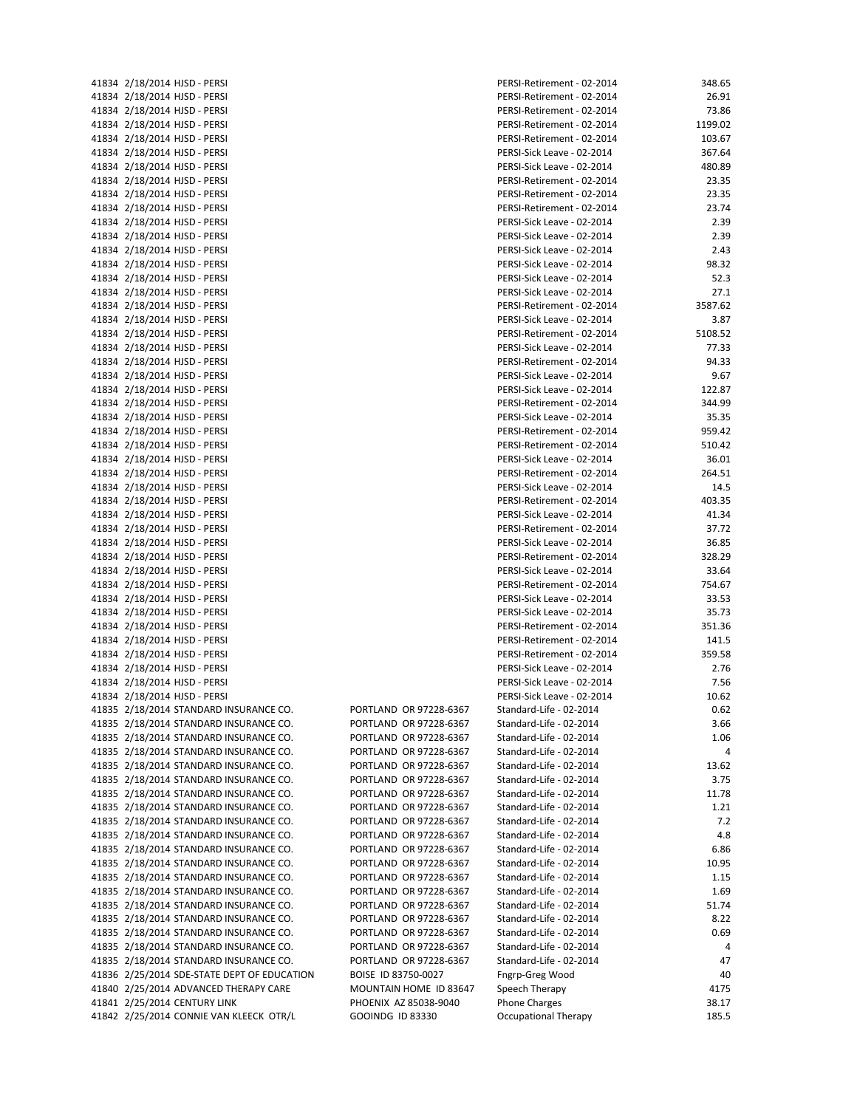| 41834 2/18/2014 HJSD - PERSI                                         |
|----------------------------------------------------------------------|
| 41834 2/18/2014 HJSD - PERSI                                         |
| 41834 2/18/2014 HJSD - PERSI                                         |
| 41834 2/18/2014 HJSD - PERSI                                         |
|                                                                      |
| 41834 2/18/2014 HJSD - PERSI                                         |
| 41834 2/18/2014 HJSD - PERSI                                         |
| 41834 2/18/2014 HJSD - PERSI                                         |
| 41834 2/18/2014 HJSD - PERSI                                         |
|                                                                      |
| 41834 2/18/2014 HJSD - PERSI                                         |
| 41834 2/18/2014 HJSD - PERSI                                         |
| 41834 2/18/2014 HJSD - PERSI                                         |
| 41834 2/18/2014 HJSD - PERSI                                         |
|                                                                      |
| 41834 2/18/2014 HJSD - PERSI                                         |
| 41834 2/18/2014 HJSD - PERSI                                         |
| 41834 2/18/2014 HJSD - PERSI                                         |
| 41834 2/18/2014 HJSD - PERSI                                         |
| 41834 2/18/2014 HJSD - PERSI                                         |
|                                                                      |
| 41834 2/18/2014 HJSD - PERSI                                         |
| 41834 2/18/2014 HJSD - PERSI                                         |
| 41834 2/18/2014 HJSD - PERSI                                         |
| 41834 2/18/2014 HJSD - PERSI                                         |
|                                                                      |
| 41834 2/18/2014 HJSD - PERSI                                         |
| 41834 2/18/2014 HJSD - PERSI                                         |
| 41834 2/18/2014 HJSD - PERSI                                         |
| 41834 2/18/2014 HJSD - PERSI                                         |
|                                                                      |
| 41834 2/18/2014 HJSD - PERSI                                         |
| 41834 2/18/2014 HJSD - PERSI                                         |
| 41834 2/18/2014 HJSD - PERSI                                         |
| 41834 2/18/2014 HJSD - PERSI                                         |
| 41834 2/18/2014 HJSD - PERSI                                         |
|                                                                      |
| 41834 2/18/2014 HJSD - PERSI                                         |
| 41834 2/18/2014 HJSD - PERSI                                         |
| 41834 2/18/2014 HJSD - PERSI                                         |
| 41834 2/18/2014 HJSD - PERSI                                         |
|                                                                      |
| 41834 2/18/2014 HJSD - PERSI                                         |
| 41834 2/18/2014 HJSD - PERSI                                         |
| 41834 2/18/2014 HJSD - PERSI                                         |
| 41834 2/18/2014 HJSD - PERSI                                         |
| 41834 2/18/2014 HJSD - PERSI                                         |
|                                                                      |
| 41834 2/18/2014 HJSD - PERSI                                         |
| 41834 2/18/2014 HJSD - PERSI                                         |
| 41834 2/18/2014 HJSD - PERSI                                         |
| 41834 2/18/2014 HJSD - PERSI                                         |
|                                                                      |
| 41834 2/18/2014 HJSD - PERSI                                         |
| 41834 2/18/2014 HJSD - PERSI                                         |
| 41835 2/18/2014 STANDARD INSURANCE O                                 |
| 41835 2/18/2014 STANDARD INSURANCE O                                 |
| 41835 2/18/2014 STANDARD INSURANCE O                                 |
|                                                                      |
| 41835 2/18/2014 STANDARD INSURANCE O                                 |
| 41835 2/18/2014 STANDARD INSURANCE O                                 |
| 41835 2/18/2014 STANDARD INSURANCE O                                 |
| 41835 2/18/2014 STANDARD INSURANCE O                                 |
| 41835 2/18/2014 STANDARD INSURANCE O                                 |
|                                                                      |
| 41835 2/18/2014 STANDARD INSURANCE O                                 |
| 41835 2/18/2014 STANDARD INSURANCE O                                 |
| 41835 2/18/2014 STANDARD INSURANCE O                                 |
|                                                                      |
|                                                                      |
| 41835 2/18/2014 STANDARD INSURANCE O                                 |
| 41835 2/18/2014 STANDARD INSURANCE O                                 |
| 41835 2/18/2014 STANDARD INSURANCE O                                 |
|                                                                      |
| 41835 2/18/2014 STANDARD INSURANCE O                                 |
| 41835 2/18/2014 STANDARD INSURANCE O                                 |
| 41835 2/18/2014 STANDARD INSURANCE O                                 |
| 41835 2/18/2014 STANDARD INSURANCE O                                 |
| 41835 2/18/2014 STANDARD INSURANCE O                                 |
|                                                                      |
| 41836 2/25/2014 SDE-STATE DEPT OF EDU                                |
| 41840 2/25/2014 ADVANCED THERAPY CAI                                 |
| 41841 2/25/2014 CENTURY LINK<br>41842 2/25/2014 CONNIE VAN KLEECK OT |
|                                                                      |

| 41834 2/18/2014 HJSD - PERSI                                 |                        | PERSI-Retirement - 02-2014                               | 348.65  |
|--------------------------------------------------------------|------------------------|----------------------------------------------------------|---------|
| 41834 2/18/2014 HJSD - PERSI                                 |                        | PERSI-Retirement - 02-2014                               | 26.91   |
| 41834 2/18/2014 HJSD - PERSI                                 |                        | PERSI-Retirement - 02-2014                               | 73.86   |
| 41834 2/18/2014 HJSD - PERSI                                 |                        | PERSI-Retirement - 02-2014                               | 1199.02 |
| 41834 2/18/2014 HJSD - PERSI                                 |                        | PERSI-Retirement - 02-2014                               | 103.67  |
| 41834 2/18/2014 HJSD - PERSI                                 |                        | PERSI-Sick Leave - 02-2014                               | 367.64  |
| 41834 2/18/2014 HJSD - PERSI                                 |                        | PERSI-Sick Leave - 02-2014                               | 480.89  |
| 41834 2/18/2014 HJSD - PERSI                                 |                        | PERSI-Retirement - 02-2014                               | 23.35   |
| 41834 2/18/2014 HJSD - PERSI                                 |                        | PERSI-Retirement - 02-2014                               | 23.35   |
| 41834 2/18/2014 HJSD - PERSI                                 |                        | PERSI-Retirement - 02-2014                               | 23.74   |
| 41834 2/18/2014 HJSD - PERSI                                 |                        | PERSI-Sick Leave - 02-2014                               | 2.39    |
| 41834 2/18/2014 HJSD - PERSI                                 |                        | PERSI-Sick Leave - 02-2014                               | 2.39    |
| 41834 2/18/2014 HJSD - PERSI                                 |                        | PERSI-Sick Leave - 02-2014                               | 2.43    |
| 41834 2/18/2014 HJSD - PERSI                                 |                        | PERSI-Sick Leave - 02-2014                               | 98.32   |
| 41834 2/18/2014 HJSD - PERSI                                 |                        | PERSI-Sick Leave - 02-2014                               | 52.3    |
| 41834 2/18/2014 HJSD - PERSI                                 |                        | PERSI-Sick Leave - 02-2014                               | 27.1    |
| 41834 2/18/2014 HJSD - PERSI                                 |                        | PERSI-Retirement - 02-2014                               | 3587.62 |
| 41834 2/18/2014 HJSD - PERSI                                 |                        | PERSI-Sick Leave - 02-2014                               | 3.87    |
| 41834 2/18/2014 HJSD - PERSI                                 |                        | PERSI-Retirement - 02-2014                               | 5108.52 |
| 41834 2/18/2014 HJSD - PERSI                                 |                        | PERSI-Sick Leave - 02-2014                               | 77.33   |
| 41834 2/18/2014 HJSD - PERSI                                 |                        | PERSI-Retirement - 02-2014                               | 94.33   |
| 41834 2/18/2014 HJSD - PERSI                                 |                        | PERSI-Sick Leave - 02-2014                               | 9.67    |
| 41834 2/18/2014 HJSD - PERSI                                 |                        | PERSI-Sick Leave - 02-2014                               | 122.87  |
| 41834 2/18/2014 HJSD - PERSI                                 |                        | PERSI-Retirement - 02-2014                               | 344.99  |
| 41834 2/18/2014 HJSD - PERSI                                 |                        | PERSI-Sick Leave - 02-2014                               | 35.35   |
| 41834 2/18/2014 HJSD - PERSI                                 |                        | PERSI-Retirement - 02-2014                               | 959.42  |
| 41834 2/18/2014 HJSD - PERSI                                 |                        | PERSI-Retirement - 02-2014                               | 510.42  |
|                                                              |                        |                                                          | 36.01   |
| 41834 2/18/2014 HJSD - PERSI<br>41834 2/18/2014 HJSD - PERSI |                        | PERSI-Sick Leave - 02-2014<br>PERSI-Retirement - 02-2014 | 264.51  |
|                                                              |                        |                                                          |         |
| 41834 2/18/2014 HJSD - PERSI                                 |                        | PERSI-Sick Leave - 02-2014                               | 14.5    |
| 41834 2/18/2014 HJSD - PERSI                                 |                        | PERSI-Retirement - 02-2014                               | 403.35  |
| 41834 2/18/2014 HJSD - PERSI                                 |                        | PERSI-Sick Leave - 02-2014                               | 41.34   |
| 41834 2/18/2014 HJSD - PERSI                                 |                        | PERSI-Retirement - 02-2014                               | 37.72   |
| 41834 2/18/2014 HJSD - PERSI                                 |                        | PERSI-Sick Leave - 02-2014                               | 36.85   |
| 41834 2/18/2014 HJSD - PERSI                                 |                        | PERSI-Retirement - 02-2014                               | 328.29  |
| 41834 2/18/2014 HJSD - PERSI                                 |                        | PERSI-Sick Leave - 02-2014                               | 33.64   |
| 41834 2/18/2014 HJSD - PERSI                                 |                        | PERSI-Retirement - 02-2014                               | 754.67  |
| 41834 2/18/2014 HJSD - PERSI                                 |                        | PERSI-Sick Leave - 02-2014                               | 33.53   |
| 41834 2/18/2014 HJSD - PERSI                                 |                        | PERSI-Sick Leave - 02-2014                               | 35.73   |
| 41834 2/18/2014 HJSD - PERSI                                 |                        | PERSI-Retirement - 02-2014                               | 351.36  |
| 41834 2/18/2014 HJSD - PERSI                                 |                        | PERSI-Retirement - 02-2014                               | 141.5   |
| 41834 2/18/2014 HJSD - PERSI                                 |                        | PERSI-Retirement - 02-2014                               | 359.58  |
| 41834 2/18/2014 HJSD - PERSI                                 |                        | PERSI-Sick Leave - 02-2014                               | 2.76    |
| 41834 2/18/2014 HJSD - PERSI                                 |                        | PERSI-Sick Leave - 02-2014                               | 7.56    |
| 41834 2/18/2014 HJSD - PERSI                                 |                        | PERSI-Sick Leave - 02-2014                               | 10.62   |
| 41835 2/18/2014 STANDARD INSURANCE CO.                       | PORTLAND OR 97228-6367 | Standard-Life - 02-2014                                  | 0.62    |
| 41835 2/18/2014 STANDARD INSURANCE CO.                       | PORTLAND OR 97228-6367 | Standard-Life - 02-2014                                  | 3.66    |
| 41835 2/18/2014 STANDARD INSURANCE CO.                       | PORTLAND OR 97228-6367 | Standard-Life - 02-2014                                  | 1.06    |
| 41835 2/18/2014 STANDARD INSURANCE CO.                       | PORTLAND OR 97228-6367 | Standard-Life - 02-2014                                  | 4       |
| 41835 2/18/2014 STANDARD INSURANCE CO.                       | PORTLAND OR 97228-6367 | Standard-Life - 02-2014                                  | 13.62   |
| 41835 2/18/2014 STANDARD INSURANCE CO.                       | PORTLAND OR 97228-6367 | Standard-Life - 02-2014                                  | 3.75    |
| 41835 2/18/2014 STANDARD INSURANCE CO.                       | PORTLAND OR 97228-6367 | Standard-Life - 02-2014                                  | 11.78   |
| 41835 2/18/2014 STANDARD INSURANCE CO.                       | PORTLAND OR 97228-6367 | Standard-Life - 02-2014                                  | 1.21    |
| 41835 2/18/2014 STANDARD INSURANCE CO.                       | PORTLAND OR 97228-6367 | Standard-Life - 02-2014                                  | 7.2     |
| 41835 2/18/2014 STANDARD INSURANCE CO.                       | PORTLAND OR 97228-6367 | Standard-Life - 02-2014                                  | 4.8     |
| 41835 2/18/2014 STANDARD INSURANCE CO.                       | PORTLAND OR 97228-6367 | Standard-Life - 02-2014                                  | 6.86    |
| 41835 2/18/2014 STANDARD INSURANCE CO.                       | PORTLAND OR 97228-6367 | Standard-Life - 02-2014                                  | 10.95   |
| 41835 2/18/2014 STANDARD INSURANCE CO.                       | PORTLAND OR 97228-6367 | Standard-Life - 02-2014                                  | 1.15    |
| 41835 2/18/2014 STANDARD INSURANCE CO.                       | PORTLAND OR 97228-6367 | Standard-Life - 02-2014                                  | 1.69    |
| 41835 2/18/2014 STANDARD INSURANCE CO.                       | PORTLAND OR 97228-6367 | Standard-Life - 02-2014                                  | 51.74   |
| 41835 2/18/2014 STANDARD INSURANCE CO.                       | PORTLAND OR 97228-6367 | Standard-Life - 02-2014                                  | 8.22    |
| 41835 2/18/2014 STANDARD INSURANCE CO.                       | PORTLAND OR 97228-6367 | Standard-Life - 02-2014                                  | 0.69    |
| 41835 2/18/2014 STANDARD INSURANCE CO.                       | PORTLAND OR 97228-6367 | Standard-Life - 02-2014                                  | 4       |
| 41835 2/18/2014 STANDARD INSURANCE CO.                       | PORTLAND OR 97228-6367 | Standard-Life - 02-2014                                  | 47      |
| 41836 2/25/2014 SDE-STATE DEPT OF EDUCATION                  | BOISE ID 83750-0027    | Fngrp-Greg Wood                                          | 40      |
| 41840 2/25/2014 ADVANCED THERAPY CARE                        | MOUNTAIN HOME ID 83647 | Speech Therapy                                           | 4175    |
| 41841 2/25/2014 CENTURY LINK                                 | PHOENIX AZ 85038-9040  | <b>Phone Charges</b>                                     | 38.17   |
| 41842 2/25/2014 CONNIE VAN KLEECK OTR/L                      | GOOINDG ID 83330       | Occupational Therapy                                     | 185.5   |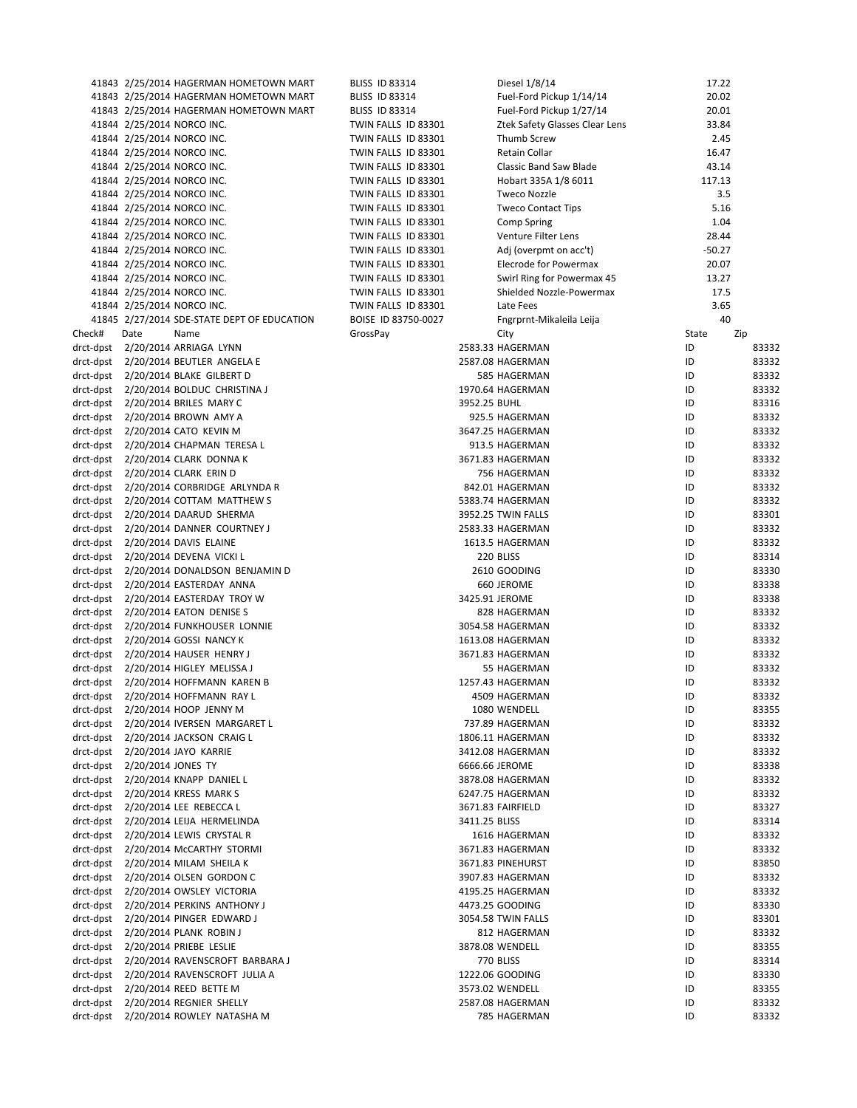| 41843 2/25/2014 HAGERMAN HOMETOWN MART<br>Diesel 1/8/14<br>17.22<br><b>BLISS ID 83314</b><br>20.02<br>Fuel-Ford Pickup 1/14/14<br>41843 2/25/2014 HAGERMAN HOMETOWN MART<br><b>BLISS ID 83314</b><br>Fuel-Ford Pickup 1/27/14<br>20.01<br>41843 2/25/2014 HAGERMAN HOMETOWN MART<br><b>BLISS ID 83314</b><br>41844 2/25/2014 NORCO INC.<br>TWIN FALLS ID 83301<br>Ztek Safety Glasses Clear Lens<br>33.84<br>41844 2/25/2014 NORCO INC.<br>TWIN FALLS ID 83301<br>Thumb Screw<br>2.45<br>41844 2/25/2014 NORCO INC.<br>Retain Collar<br>16.47<br>TWIN FALLS ID 83301<br>41844 2/25/2014 NORCO INC.<br>43.14<br>TWIN FALLS ID 83301<br>Classic Band Saw Blade<br>41844 2/25/2014 NORCO INC.<br>TWIN FALLS ID 83301<br>Hobart 335A 1/8 6011<br>117.13<br>41844 2/25/2014 NORCO INC.<br>3.5<br>TWIN FALLS ID 83301<br><b>Tweco Nozzle</b><br>41844 2/25/2014 NORCO INC.<br><b>Tweco Contact Tips</b><br>5.16<br>TWIN FALLS ID 83301<br>41844 2/25/2014 NORCO INC.<br>1.04<br>TWIN FALLS ID 83301<br>Comp Spring<br>28.44<br>41844 2/25/2014 NORCO INC.<br>Venture Filter Lens<br>TWIN FALLS ID 83301<br>41844 2/25/2014 NORCO INC.<br>TWIN FALLS ID 83301<br>Adj (overpmt on acc't)<br>$-50.27$<br>41844 2/25/2014 NORCO INC.<br>TWIN FALLS ID 83301<br>20.07<br>Elecrode for Powermax<br>41844 2/25/2014 NORCO INC.<br>TWIN FALLS ID 83301<br>Swirl Ring for Powermax 45<br>13.27<br>41844 2/25/2014 NORCO INC.<br>TWIN FALLS ID 83301<br>Shielded Nozzle-Powermax<br>17.5<br>41844 2/25/2014 NORCO INC.<br>TWIN FALLS ID 83301<br>3.65<br>Late Fees<br>40<br>41845 2/27/2014 SDE-STATE DEPT OF EDUCATION<br>BOISE ID 83750-0027<br>Fngrprnt-Mikaleila Leija<br>Date<br>Name<br>GrossPay<br>State<br>City<br>ID<br>2583.33 HAGERMAN<br>ID<br>2587.08 HAGERMAN<br>585 HAGERMAN<br>ID<br>ID<br>1970.64 HAGERMAN<br>3952.25 BUHL<br>ID<br>ID<br>925.5 HAGERMAN<br>ID<br>3647.25 HAGERMAN<br>ID<br>913.5 HAGERMAN<br>ID<br>3671.83 HAGERMAN<br>ID<br>756 HAGERMAN<br>ID<br>842.01 HAGERMAN<br>ID<br>5383.74 HAGERMAN<br>ID<br>3952.25 TWIN FALLS<br>ID<br>2583.33 HAGERMAN<br>ID<br>1613.5 HAGERMAN<br>ID<br>220 BLISS<br>ID<br>2610 GOODING<br>ID<br>660 JEROME<br>ID<br>3425.91 JEROME<br>ID<br>828 HAGERMAN<br>ID<br>3054.58 HAGERMAN<br>ID<br>1613.08 HAGERMAN<br>ID<br>3671.83 HAGERMAN<br>ID<br>55 HAGERMAN<br>ID<br>1257.43 HAGERMAN<br>ID<br>2/20/2014 HOFFMANN RAY L<br>4509 HAGERMAN<br>1080 WENDELL<br>ID<br>737.89 HAGERMAN<br>ID<br>ID<br>1806.11 HAGERMAN<br>3412.08 HAGERMAN<br>ID<br>6666.66 JEROME<br>ID<br>ID<br>3878.08 HAGERMAN<br>6247.75 HAGERMAN<br>ID<br>3671.83 FAIRFIELD<br>ID<br>3411.25 BLISS<br>ID<br>1616 HAGERMAN<br>ID<br>3671.83 HAGERMAN<br>ID<br>3671.83 PINEHURST<br>ID<br>3907.83 HAGERMAN<br>ID<br>4195.25 HAGERMAN<br>ID<br>4473.25 GOODING<br>ID<br>3054.58 TWIN FALLS<br>ID<br>812 HAGERMAN<br>ID<br>3878.08 WENDELL<br>ID<br>770 BLISS<br>ID<br>1222.06 GOODING<br>ID<br>3573.02 WENDELL<br>ID<br>2/20/2014 REGNIER SHELLY<br>2587.08 HAGERMAN<br>ID<br>ID<br>785 HAGERMAN |  |  |  |                |
|----------------------------------------------------------------------------------------------------------------------------------------------------------------------------------------------------------------------------------------------------------------------------------------------------------------------------------------------------------------------------------------------------------------------------------------------------------------------------------------------------------------------------------------------------------------------------------------------------------------------------------------------------------------------------------------------------------------------------------------------------------------------------------------------------------------------------------------------------------------------------------------------------------------------------------------------------------------------------------------------------------------------------------------------------------------------------------------------------------------------------------------------------------------------------------------------------------------------------------------------------------------------------------------------------------------------------------------------------------------------------------------------------------------------------------------------------------------------------------------------------------------------------------------------------------------------------------------------------------------------------------------------------------------------------------------------------------------------------------------------------------------------------------------------------------------------------------------------------------------------------------------------------------------------------------------------------------------------------------------------------------------------------------------------------------------------------------------------------------------------------------------------------------------------------------------------------------------------------------------------------------------------------------------------------------------------------------------------------------------------------------------------------------------------------------------------------------------------------------------------------------------------------------------------------------------------------------------------------------------------------------------------------------------------------------------------------------------------------------------------------------------------------------------------------------------------------------------------------------------------------------------------------------------------------------------------------------------------------------------------------------------|--|--|--|----------------|
|                                                                                                                                                                                                                                                                                                                                                                                                                                                                                                                                                                                                                                                                                                                                                                                                                                                                                                                                                                                                                                                                                                                                                                                                                                                                                                                                                                                                                                                                                                                                                                                                                                                                                                                                                                                                                                                                                                                                                                                                                                                                                                                                                                                                                                                                                                                                                                                                                                                                                                                                                                                                                                                                                                                                                                                                                                                                                                                                                                                                                |  |  |  |                |
|                                                                                                                                                                                                                                                                                                                                                                                                                                                                                                                                                                                                                                                                                                                                                                                                                                                                                                                                                                                                                                                                                                                                                                                                                                                                                                                                                                                                                                                                                                                                                                                                                                                                                                                                                                                                                                                                                                                                                                                                                                                                                                                                                                                                                                                                                                                                                                                                                                                                                                                                                                                                                                                                                                                                                                                                                                                                                                                                                                                                                |  |  |  |                |
|                                                                                                                                                                                                                                                                                                                                                                                                                                                                                                                                                                                                                                                                                                                                                                                                                                                                                                                                                                                                                                                                                                                                                                                                                                                                                                                                                                                                                                                                                                                                                                                                                                                                                                                                                                                                                                                                                                                                                                                                                                                                                                                                                                                                                                                                                                                                                                                                                                                                                                                                                                                                                                                                                                                                                                                                                                                                                                                                                                                                                |  |  |  |                |
| Check#<br>drct-dpst 2/20/2014 ARRIAGA LYNN<br>drct-dpst 2/20/2014 BEUTLER ANGELA E<br>drct-dpst 2/20/2014 BLAKE GILBERT D<br>drct-dpst 2/20/2014 BOLDUC CHRISTINA J<br>drct-dpst 2/20/2014 BRILES MARY C<br>drct-dpst  2/20/2014 BROWN AMY A<br>drct-dpst 2/20/2014 CATO KEVIN M<br>drct-dpst  2/20/2014 CHAPMAN TERESA L<br>drct-dpst 2/20/2014 CLARK DONNA K<br>drct-dpst     2/20/2014 CLARK  ERIN D<br>drct-dpst 2/20/2014 CORBRIDGE ARLYNDA R<br>drct-dpst 2/20/2014 COTTAM MATTHEW S<br>drct-dpst 2/20/2014 DAARUD SHERMA<br>drct-dpst 2/20/2014 DANNER COURTNEY J<br>drct-dpst 2/20/2014 DAVIS ELAINE<br>drct-dpst 2/20/2014 DEVENA VICKI L<br>drct-dpst     2/20/2014 DONALDSON  BENJAMIN D<br>drct-dpst 2/20/2014 EASTERDAY ANNA<br>drct-dpst 2/20/2014 EASTERDAY TROY W<br>drct-dpst 2/20/2014 EATON DENISE S<br>drct-dpst 2/20/2014 FUNKHOUSER LONNIE<br>drct-dpst 2/20/2014 GOSSI NANCY K<br>drct-dpst 2/20/2014 HAUSER HENRY J<br>drct-dpst 2/20/2014 HIGLEY MELISSA J<br>drct-dpst 2/20/2014 HOFFMANN KAREN B<br>drct-dpst<br>drct-dpst 2/20/2014 HOOP JENNY M<br>drct-dpst 2/20/2014 IVERSEN MARGARET L<br>drct-dpst 2/20/2014 JACKSON CRAIG L<br>drct-dpst 2/20/2014 JAYO KARRIE<br>drct-dpst 2/20/2014 JONES TY<br>drct-dpst 2/20/2014 KNAPP DANIEL L<br>drct-dpst 2/20/2014 KRESS MARK S<br>drct-dpst 2/20/2014 LEE REBECCA L<br>drct-dpst 2/20/2014 LEIJA HERMELINDA<br>drct-dpst 2/20/2014 LEWIS CRYSTAL R<br>drct-dpst 2/20/2014 McCARTHY STORMI<br>drct-dpst     2/20/2014 MILAM  SHEILA K<br>drct-dpst 2/20/2014 OLSEN GORDON C<br>drct-dpst 2/20/2014 OWSLEY VICTORIA<br>drct-dpst 2/20/2014 PERKINS ANTHONY J<br>drct-dpst     2/20/2014 PINGER  EDWARD J<br>drct-dpst 2/20/2014 PLANK ROBIN J<br>drct-dpst 2/20/2014 PRIEBE LESLIE<br>drct-dpst  2/20/2014 RAVENSCROFT BARBARA J<br>drct-dpst 2/20/2014 RAVENSCROFT JULIA A<br>drct-dpst 2/20/2014 REED BETTE M<br>drct-dpst<br>drct-dpst 2/20/2014 ROWLEY NATASHA M                                                                                                                                                                                                                                                                                                                                                                                                                                                                                                                                                                                                                                                                                                                                                                                                                                                                                                                                                                                                                                                                 |  |  |  |                |
|                                                                                                                                                                                                                                                                                                                                                                                                                                                                                                                                                                                                                                                                                                                                                                                                                                                                                                                                                                                                                                                                                                                                                                                                                                                                                                                                                                                                                                                                                                                                                                                                                                                                                                                                                                                                                                                                                                                                                                                                                                                                                                                                                                                                                                                                                                                                                                                                                                                                                                                                                                                                                                                                                                                                                                                                                                                                                                                                                                                                                |  |  |  |                |
|                                                                                                                                                                                                                                                                                                                                                                                                                                                                                                                                                                                                                                                                                                                                                                                                                                                                                                                                                                                                                                                                                                                                                                                                                                                                                                                                                                                                                                                                                                                                                                                                                                                                                                                                                                                                                                                                                                                                                                                                                                                                                                                                                                                                                                                                                                                                                                                                                                                                                                                                                                                                                                                                                                                                                                                                                                                                                                                                                                                                                |  |  |  |                |
|                                                                                                                                                                                                                                                                                                                                                                                                                                                                                                                                                                                                                                                                                                                                                                                                                                                                                                                                                                                                                                                                                                                                                                                                                                                                                                                                                                                                                                                                                                                                                                                                                                                                                                                                                                                                                                                                                                                                                                                                                                                                                                                                                                                                                                                                                                                                                                                                                                                                                                                                                                                                                                                                                                                                                                                                                                                                                                                                                                                                                |  |  |  |                |
|                                                                                                                                                                                                                                                                                                                                                                                                                                                                                                                                                                                                                                                                                                                                                                                                                                                                                                                                                                                                                                                                                                                                                                                                                                                                                                                                                                                                                                                                                                                                                                                                                                                                                                                                                                                                                                                                                                                                                                                                                                                                                                                                                                                                                                                                                                                                                                                                                                                                                                                                                                                                                                                                                                                                                                                                                                                                                                                                                                                                                |  |  |  |                |
|                                                                                                                                                                                                                                                                                                                                                                                                                                                                                                                                                                                                                                                                                                                                                                                                                                                                                                                                                                                                                                                                                                                                                                                                                                                                                                                                                                                                                                                                                                                                                                                                                                                                                                                                                                                                                                                                                                                                                                                                                                                                                                                                                                                                                                                                                                                                                                                                                                                                                                                                                                                                                                                                                                                                                                                                                                                                                                                                                                                                                |  |  |  |                |
|                                                                                                                                                                                                                                                                                                                                                                                                                                                                                                                                                                                                                                                                                                                                                                                                                                                                                                                                                                                                                                                                                                                                                                                                                                                                                                                                                                                                                                                                                                                                                                                                                                                                                                                                                                                                                                                                                                                                                                                                                                                                                                                                                                                                                                                                                                                                                                                                                                                                                                                                                                                                                                                                                                                                                                                                                                                                                                                                                                                                                |  |  |  |                |
|                                                                                                                                                                                                                                                                                                                                                                                                                                                                                                                                                                                                                                                                                                                                                                                                                                                                                                                                                                                                                                                                                                                                                                                                                                                                                                                                                                                                                                                                                                                                                                                                                                                                                                                                                                                                                                                                                                                                                                                                                                                                                                                                                                                                                                                                                                                                                                                                                                                                                                                                                                                                                                                                                                                                                                                                                                                                                                                                                                                                                |  |  |  |                |
|                                                                                                                                                                                                                                                                                                                                                                                                                                                                                                                                                                                                                                                                                                                                                                                                                                                                                                                                                                                                                                                                                                                                                                                                                                                                                                                                                                                                                                                                                                                                                                                                                                                                                                                                                                                                                                                                                                                                                                                                                                                                                                                                                                                                                                                                                                                                                                                                                                                                                                                                                                                                                                                                                                                                                                                                                                                                                                                                                                                                                |  |  |  |                |
|                                                                                                                                                                                                                                                                                                                                                                                                                                                                                                                                                                                                                                                                                                                                                                                                                                                                                                                                                                                                                                                                                                                                                                                                                                                                                                                                                                                                                                                                                                                                                                                                                                                                                                                                                                                                                                                                                                                                                                                                                                                                                                                                                                                                                                                                                                                                                                                                                                                                                                                                                                                                                                                                                                                                                                                                                                                                                                                                                                                                                |  |  |  |                |
|                                                                                                                                                                                                                                                                                                                                                                                                                                                                                                                                                                                                                                                                                                                                                                                                                                                                                                                                                                                                                                                                                                                                                                                                                                                                                                                                                                                                                                                                                                                                                                                                                                                                                                                                                                                                                                                                                                                                                                                                                                                                                                                                                                                                                                                                                                                                                                                                                                                                                                                                                                                                                                                                                                                                                                                                                                                                                                                                                                                                                |  |  |  |                |
|                                                                                                                                                                                                                                                                                                                                                                                                                                                                                                                                                                                                                                                                                                                                                                                                                                                                                                                                                                                                                                                                                                                                                                                                                                                                                                                                                                                                                                                                                                                                                                                                                                                                                                                                                                                                                                                                                                                                                                                                                                                                                                                                                                                                                                                                                                                                                                                                                                                                                                                                                                                                                                                                                                                                                                                                                                                                                                                                                                                                                |  |  |  |                |
|                                                                                                                                                                                                                                                                                                                                                                                                                                                                                                                                                                                                                                                                                                                                                                                                                                                                                                                                                                                                                                                                                                                                                                                                                                                                                                                                                                                                                                                                                                                                                                                                                                                                                                                                                                                                                                                                                                                                                                                                                                                                                                                                                                                                                                                                                                                                                                                                                                                                                                                                                                                                                                                                                                                                                                                                                                                                                                                                                                                                                |  |  |  |                |
|                                                                                                                                                                                                                                                                                                                                                                                                                                                                                                                                                                                                                                                                                                                                                                                                                                                                                                                                                                                                                                                                                                                                                                                                                                                                                                                                                                                                                                                                                                                                                                                                                                                                                                                                                                                                                                                                                                                                                                                                                                                                                                                                                                                                                                                                                                                                                                                                                                                                                                                                                                                                                                                                                                                                                                                                                                                                                                                                                                                                                |  |  |  |                |
|                                                                                                                                                                                                                                                                                                                                                                                                                                                                                                                                                                                                                                                                                                                                                                                                                                                                                                                                                                                                                                                                                                                                                                                                                                                                                                                                                                                                                                                                                                                                                                                                                                                                                                                                                                                                                                                                                                                                                                                                                                                                                                                                                                                                                                                                                                                                                                                                                                                                                                                                                                                                                                                                                                                                                                                                                                                                                                                                                                                                                |  |  |  |                |
|                                                                                                                                                                                                                                                                                                                                                                                                                                                                                                                                                                                                                                                                                                                                                                                                                                                                                                                                                                                                                                                                                                                                                                                                                                                                                                                                                                                                                                                                                                                                                                                                                                                                                                                                                                                                                                                                                                                                                                                                                                                                                                                                                                                                                                                                                                                                                                                                                                                                                                                                                                                                                                                                                                                                                                                                                                                                                                                                                                                                                |  |  |  | Zip            |
|                                                                                                                                                                                                                                                                                                                                                                                                                                                                                                                                                                                                                                                                                                                                                                                                                                                                                                                                                                                                                                                                                                                                                                                                                                                                                                                                                                                                                                                                                                                                                                                                                                                                                                                                                                                                                                                                                                                                                                                                                                                                                                                                                                                                                                                                                                                                                                                                                                                                                                                                                                                                                                                                                                                                                                                                                                                                                                                                                                                                                |  |  |  | 83332          |
|                                                                                                                                                                                                                                                                                                                                                                                                                                                                                                                                                                                                                                                                                                                                                                                                                                                                                                                                                                                                                                                                                                                                                                                                                                                                                                                                                                                                                                                                                                                                                                                                                                                                                                                                                                                                                                                                                                                                                                                                                                                                                                                                                                                                                                                                                                                                                                                                                                                                                                                                                                                                                                                                                                                                                                                                                                                                                                                                                                                                                |  |  |  | 83332          |
|                                                                                                                                                                                                                                                                                                                                                                                                                                                                                                                                                                                                                                                                                                                                                                                                                                                                                                                                                                                                                                                                                                                                                                                                                                                                                                                                                                                                                                                                                                                                                                                                                                                                                                                                                                                                                                                                                                                                                                                                                                                                                                                                                                                                                                                                                                                                                                                                                                                                                                                                                                                                                                                                                                                                                                                                                                                                                                                                                                                                                |  |  |  | 83332          |
|                                                                                                                                                                                                                                                                                                                                                                                                                                                                                                                                                                                                                                                                                                                                                                                                                                                                                                                                                                                                                                                                                                                                                                                                                                                                                                                                                                                                                                                                                                                                                                                                                                                                                                                                                                                                                                                                                                                                                                                                                                                                                                                                                                                                                                                                                                                                                                                                                                                                                                                                                                                                                                                                                                                                                                                                                                                                                                                                                                                                                |  |  |  | 83332          |
|                                                                                                                                                                                                                                                                                                                                                                                                                                                                                                                                                                                                                                                                                                                                                                                                                                                                                                                                                                                                                                                                                                                                                                                                                                                                                                                                                                                                                                                                                                                                                                                                                                                                                                                                                                                                                                                                                                                                                                                                                                                                                                                                                                                                                                                                                                                                                                                                                                                                                                                                                                                                                                                                                                                                                                                                                                                                                                                                                                                                                |  |  |  | 83316          |
|                                                                                                                                                                                                                                                                                                                                                                                                                                                                                                                                                                                                                                                                                                                                                                                                                                                                                                                                                                                                                                                                                                                                                                                                                                                                                                                                                                                                                                                                                                                                                                                                                                                                                                                                                                                                                                                                                                                                                                                                                                                                                                                                                                                                                                                                                                                                                                                                                                                                                                                                                                                                                                                                                                                                                                                                                                                                                                                                                                                                                |  |  |  | 83332          |
|                                                                                                                                                                                                                                                                                                                                                                                                                                                                                                                                                                                                                                                                                                                                                                                                                                                                                                                                                                                                                                                                                                                                                                                                                                                                                                                                                                                                                                                                                                                                                                                                                                                                                                                                                                                                                                                                                                                                                                                                                                                                                                                                                                                                                                                                                                                                                                                                                                                                                                                                                                                                                                                                                                                                                                                                                                                                                                                                                                                                                |  |  |  | 83332          |
|                                                                                                                                                                                                                                                                                                                                                                                                                                                                                                                                                                                                                                                                                                                                                                                                                                                                                                                                                                                                                                                                                                                                                                                                                                                                                                                                                                                                                                                                                                                                                                                                                                                                                                                                                                                                                                                                                                                                                                                                                                                                                                                                                                                                                                                                                                                                                                                                                                                                                                                                                                                                                                                                                                                                                                                                                                                                                                                                                                                                                |  |  |  | 83332          |
|                                                                                                                                                                                                                                                                                                                                                                                                                                                                                                                                                                                                                                                                                                                                                                                                                                                                                                                                                                                                                                                                                                                                                                                                                                                                                                                                                                                                                                                                                                                                                                                                                                                                                                                                                                                                                                                                                                                                                                                                                                                                                                                                                                                                                                                                                                                                                                                                                                                                                                                                                                                                                                                                                                                                                                                                                                                                                                                                                                                                                |  |  |  | 83332          |
|                                                                                                                                                                                                                                                                                                                                                                                                                                                                                                                                                                                                                                                                                                                                                                                                                                                                                                                                                                                                                                                                                                                                                                                                                                                                                                                                                                                                                                                                                                                                                                                                                                                                                                                                                                                                                                                                                                                                                                                                                                                                                                                                                                                                                                                                                                                                                                                                                                                                                                                                                                                                                                                                                                                                                                                                                                                                                                                                                                                                                |  |  |  | 83332          |
|                                                                                                                                                                                                                                                                                                                                                                                                                                                                                                                                                                                                                                                                                                                                                                                                                                                                                                                                                                                                                                                                                                                                                                                                                                                                                                                                                                                                                                                                                                                                                                                                                                                                                                                                                                                                                                                                                                                                                                                                                                                                                                                                                                                                                                                                                                                                                                                                                                                                                                                                                                                                                                                                                                                                                                                                                                                                                                                                                                                                                |  |  |  | 83332          |
|                                                                                                                                                                                                                                                                                                                                                                                                                                                                                                                                                                                                                                                                                                                                                                                                                                                                                                                                                                                                                                                                                                                                                                                                                                                                                                                                                                                                                                                                                                                                                                                                                                                                                                                                                                                                                                                                                                                                                                                                                                                                                                                                                                                                                                                                                                                                                                                                                                                                                                                                                                                                                                                                                                                                                                                                                                                                                                                                                                                                                |  |  |  | 83332          |
|                                                                                                                                                                                                                                                                                                                                                                                                                                                                                                                                                                                                                                                                                                                                                                                                                                                                                                                                                                                                                                                                                                                                                                                                                                                                                                                                                                                                                                                                                                                                                                                                                                                                                                                                                                                                                                                                                                                                                                                                                                                                                                                                                                                                                                                                                                                                                                                                                                                                                                                                                                                                                                                                                                                                                                                                                                                                                                                                                                                                                |  |  |  | 83301          |
|                                                                                                                                                                                                                                                                                                                                                                                                                                                                                                                                                                                                                                                                                                                                                                                                                                                                                                                                                                                                                                                                                                                                                                                                                                                                                                                                                                                                                                                                                                                                                                                                                                                                                                                                                                                                                                                                                                                                                                                                                                                                                                                                                                                                                                                                                                                                                                                                                                                                                                                                                                                                                                                                                                                                                                                                                                                                                                                                                                                                                |  |  |  | 83332          |
|                                                                                                                                                                                                                                                                                                                                                                                                                                                                                                                                                                                                                                                                                                                                                                                                                                                                                                                                                                                                                                                                                                                                                                                                                                                                                                                                                                                                                                                                                                                                                                                                                                                                                                                                                                                                                                                                                                                                                                                                                                                                                                                                                                                                                                                                                                                                                                                                                                                                                                                                                                                                                                                                                                                                                                                                                                                                                                                                                                                                                |  |  |  | 83332          |
|                                                                                                                                                                                                                                                                                                                                                                                                                                                                                                                                                                                                                                                                                                                                                                                                                                                                                                                                                                                                                                                                                                                                                                                                                                                                                                                                                                                                                                                                                                                                                                                                                                                                                                                                                                                                                                                                                                                                                                                                                                                                                                                                                                                                                                                                                                                                                                                                                                                                                                                                                                                                                                                                                                                                                                                                                                                                                                                                                                                                                |  |  |  | 83314          |
|                                                                                                                                                                                                                                                                                                                                                                                                                                                                                                                                                                                                                                                                                                                                                                                                                                                                                                                                                                                                                                                                                                                                                                                                                                                                                                                                                                                                                                                                                                                                                                                                                                                                                                                                                                                                                                                                                                                                                                                                                                                                                                                                                                                                                                                                                                                                                                                                                                                                                                                                                                                                                                                                                                                                                                                                                                                                                                                                                                                                                |  |  |  | 83330          |
|                                                                                                                                                                                                                                                                                                                                                                                                                                                                                                                                                                                                                                                                                                                                                                                                                                                                                                                                                                                                                                                                                                                                                                                                                                                                                                                                                                                                                                                                                                                                                                                                                                                                                                                                                                                                                                                                                                                                                                                                                                                                                                                                                                                                                                                                                                                                                                                                                                                                                                                                                                                                                                                                                                                                                                                                                                                                                                                                                                                                                |  |  |  | 83338          |
|                                                                                                                                                                                                                                                                                                                                                                                                                                                                                                                                                                                                                                                                                                                                                                                                                                                                                                                                                                                                                                                                                                                                                                                                                                                                                                                                                                                                                                                                                                                                                                                                                                                                                                                                                                                                                                                                                                                                                                                                                                                                                                                                                                                                                                                                                                                                                                                                                                                                                                                                                                                                                                                                                                                                                                                                                                                                                                                                                                                                                |  |  |  | 83338          |
|                                                                                                                                                                                                                                                                                                                                                                                                                                                                                                                                                                                                                                                                                                                                                                                                                                                                                                                                                                                                                                                                                                                                                                                                                                                                                                                                                                                                                                                                                                                                                                                                                                                                                                                                                                                                                                                                                                                                                                                                                                                                                                                                                                                                                                                                                                                                                                                                                                                                                                                                                                                                                                                                                                                                                                                                                                                                                                                                                                                                                |  |  |  | 83332          |
|                                                                                                                                                                                                                                                                                                                                                                                                                                                                                                                                                                                                                                                                                                                                                                                                                                                                                                                                                                                                                                                                                                                                                                                                                                                                                                                                                                                                                                                                                                                                                                                                                                                                                                                                                                                                                                                                                                                                                                                                                                                                                                                                                                                                                                                                                                                                                                                                                                                                                                                                                                                                                                                                                                                                                                                                                                                                                                                                                                                                                |  |  |  | 83332          |
|                                                                                                                                                                                                                                                                                                                                                                                                                                                                                                                                                                                                                                                                                                                                                                                                                                                                                                                                                                                                                                                                                                                                                                                                                                                                                                                                                                                                                                                                                                                                                                                                                                                                                                                                                                                                                                                                                                                                                                                                                                                                                                                                                                                                                                                                                                                                                                                                                                                                                                                                                                                                                                                                                                                                                                                                                                                                                                                                                                                                                |  |  |  | 83332          |
|                                                                                                                                                                                                                                                                                                                                                                                                                                                                                                                                                                                                                                                                                                                                                                                                                                                                                                                                                                                                                                                                                                                                                                                                                                                                                                                                                                                                                                                                                                                                                                                                                                                                                                                                                                                                                                                                                                                                                                                                                                                                                                                                                                                                                                                                                                                                                                                                                                                                                                                                                                                                                                                                                                                                                                                                                                                                                                                                                                                                                |  |  |  |                |
|                                                                                                                                                                                                                                                                                                                                                                                                                                                                                                                                                                                                                                                                                                                                                                                                                                                                                                                                                                                                                                                                                                                                                                                                                                                                                                                                                                                                                                                                                                                                                                                                                                                                                                                                                                                                                                                                                                                                                                                                                                                                                                                                                                                                                                                                                                                                                                                                                                                                                                                                                                                                                                                                                                                                                                                                                                                                                                                                                                                                                |  |  |  | 83332<br>83332 |
|                                                                                                                                                                                                                                                                                                                                                                                                                                                                                                                                                                                                                                                                                                                                                                                                                                                                                                                                                                                                                                                                                                                                                                                                                                                                                                                                                                                                                                                                                                                                                                                                                                                                                                                                                                                                                                                                                                                                                                                                                                                                                                                                                                                                                                                                                                                                                                                                                                                                                                                                                                                                                                                                                                                                                                                                                                                                                                                                                                                                                |  |  |  |                |
|                                                                                                                                                                                                                                                                                                                                                                                                                                                                                                                                                                                                                                                                                                                                                                                                                                                                                                                                                                                                                                                                                                                                                                                                                                                                                                                                                                                                                                                                                                                                                                                                                                                                                                                                                                                                                                                                                                                                                                                                                                                                                                                                                                                                                                                                                                                                                                                                                                                                                                                                                                                                                                                                                                                                                                                                                                                                                                                                                                                                                |  |  |  | 83332          |
|                                                                                                                                                                                                                                                                                                                                                                                                                                                                                                                                                                                                                                                                                                                                                                                                                                                                                                                                                                                                                                                                                                                                                                                                                                                                                                                                                                                                                                                                                                                                                                                                                                                                                                                                                                                                                                                                                                                                                                                                                                                                                                                                                                                                                                                                                                                                                                                                                                                                                                                                                                                                                                                                                                                                                                                                                                                                                                                                                                                                                |  |  |  | 83332          |
|                                                                                                                                                                                                                                                                                                                                                                                                                                                                                                                                                                                                                                                                                                                                                                                                                                                                                                                                                                                                                                                                                                                                                                                                                                                                                                                                                                                                                                                                                                                                                                                                                                                                                                                                                                                                                                                                                                                                                                                                                                                                                                                                                                                                                                                                                                                                                                                                                                                                                                                                                                                                                                                                                                                                                                                                                                                                                                                                                                                                                |  |  |  | 83355          |
|                                                                                                                                                                                                                                                                                                                                                                                                                                                                                                                                                                                                                                                                                                                                                                                                                                                                                                                                                                                                                                                                                                                                                                                                                                                                                                                                                                                                                                                                                                                                                                                                                                                                                                                                                                                                                                                                                                                                                                                                                                                                                                                                                                                                                                                                                                                                                                                                                                                                                                                                                                                                                                                                                                                                                                                                                                                                                                                                                                                                                |  |  |  | 83332          |
|                                                                                                                                                                                                                                                                                                                                                                                                                                                                                                                                                                                                                                                                                                                                                                                                                                                                                                                                                                                                                                                                                                                                                                                                                                                                                                                                                                                                                                                                                                                                                                                                                                                                                                                                                                                                                                                                                                                                                                                                                                                                                                                                                                                                                                                                                                                                                                                                                                                                                                                                                                                                                                                                                                                                                                                                                                                                                                                                                                                                                |  |  |  | 83332          |
|                                                                                                                                                                                                                                                                                                                                                                                                                                                                                                                                                                                                                                                                                                                                                                                                                                                                                                                                                                                                                                                                                                                                                                                                                                                                                                                                                                                                                                                                                                                                                                                                                                                                                                                                                                                                                                                                                                                                                                                                                                                                                                                                                                                                                                                                                                                                                                                                                                                                                                                                                                                                                                                                                                                                                                                                                                                                                                                                                                                                                |  |  |  | 83332          |
|                                                                                                                                                                                                                                                                                                                                                                                                                                                                                                                                                                                                                                                                                                                                                                                                                                                                                                                                                                                                                                                                                                                                                                                                                                                                                                                                                                                                                                                                                                                                                                                                                                                                                                                                                                                                                                                                                                                                                                                                                                                                                                                                                                                                                                                                                                                                                                                                                                                                                                                                                                                                                                                                                                                                                                                                                                                                                                                                                                                                                |  |  |  | 83338          |
|                                                                                                                                                                                                                                                                                                                                                                                                                                                                                                                                                                                                                                                                                                                                                                                                                                                                                                                                                                                                                                                                                                                                                                                                                                                                                                                                                                                                                                                                                                                                                                                                                                                                                                                                                                                                                                                                                                                                                                                                                                                                                                                                                                                                                                                                                                                                                                                                                                                                                                                                                                                                                                                                                                                                                                                                                                                                                                                                                                                                                |  |  |  | 83332          |
|                                                                                                                                                                                                                                                                                                                                                                                                                                                                                                                                                                                                                                                                                                                                                                                                                                                                                                                                                                                                                                                                                                                                                                                                                                                                                                                                                                                                                                                                                                                                                                                                                                                                                                                                                                                                                                                                                                                                                                                                                                                                                                                                                                                                                                                                                                                                                                                                                                                                                                                                                                                                                                                                                                                                                                                                                                                                                                                                                                                                                |  |  |  | 83332          |
|                                                                                                                                                                                                                                                                                                                                                                                                                                                                                                                                                                                                                                                                                                                                                                                                                                                                                                                                                                                                                                                                                                                                                                                                                                                                                                                                                                                                                                                                                                                                                                                                                                                                                                                                                                                                                                                                                                                                                                                                                                                                                                                                                                                                                                                                                                                                                                                                                                                                                                                                                                                                                                                                                                                                                                                                                                                                                                                                                                                                                |  |  |  | 83327          |
|                                                                                                                                                                                                                                                                                                                                                                                                                                                                                                                                                                                                                                                                                                                                                                                                                                                                                                                                                                                                                                                                                                                                                                                                                                                                                                                                                                                                                                                                                                                                                                                                                                                                                                                                                                                                                                                                                                                                                                                                                                                                                                                                                                                                                                                                                                                                                                                                                                                                                                                                                                                                                                                                                                                                                                                                                                                                                                                                                                                                                |  |  |  | 83314          |
|                                                                                                                                                                                                                                                                                                                                                                                                                                                                                                                                                                                                                                                                                                                                                                                                                                                                                                                                                                                                                                                                                                                                                                                                                                                                                                                                                                                                                                                                                                                                                                                                                                                                                                                                                                                                                                                                                                                                                                                                                                                                                                                                                                                                                                                                                                                                                                                                                                                                                                                                                                                                                                                                                                                                                                                                                                                                                                                                                                                                                |  |  |  | 83332          |
|                                                                                                                                                                                                                                                                                                                                                                                                                                                                                                                                                                                                                                                                                                                                                                                                                                                                                                                                                                                                                                                                                                                                                                                                                                                                                                                                                                                                                                                                                                                                                                                                                                                                                                                                                                                                                                                                                                                                                                                                                                                                                                                                                                                                                                                                                                                                                                                                                                                                                                                                                                                                                                                                                                                                                                                                                                                                                                                                                                                                                |  |  |  | 83332          |
|                                                                                                                                                                                                                                                                                                                                                                                                                                                                                                                                                                                                                                                                                                                                                                                                                                                                                                                                                                                                                                                                                                                                                                                                                                                                                                                                                                                                                                                                                                                                                                                                                                                                                                                                                                                                                                                                                                                                                                                                                                                                                                                                                                                                                                                                                                                                                                                                                                                                                                                                                                                                                                                                                                                                                                                                                                                                                                                                                                                                                |  |  |  | 83850          |
|                                                                                                                                                                                                                                                                                                                                                                                                                                                                                                                                                                                                                                                                                                                                                                                                                                                                                                                                                                                                                                                                                                                                                                                                                                                                                                                                                                                                                                                                                                                                                                                                                                                                                                                                                                                                                                                                                                                                                                                                                                                                                                                                                                                                                                                                                                                                                                                                                                                                                                                                                                                                                                                                                                                                                                                                                                                                                                                                                                                                                |  |  |  | 83332          |
|                                                                                                                                                                                                                                                                                                                                                                                                                                                                                                                                                                                                                                                                                                                                                                                                                                                                                                                                                                                                                                                                                                                                                                                                                                                                                                                                                                                                                                                                                                                                                                                                                                                                                                                                                                                                                                                                                                                                                                                                                                                                                                                                                                                                                                                                                                                                                                                                                                                                                                                                                                                                                                                                                                                                                                                                                                                                                                                                                                                                                |  |  |  | 83332          |
|                                                                                                                                                                                                                                                                                                                                                                                                                                                                                                                                                                                                                                                                                                                                                                                                                                                                                                                                                                                                                                                                                                                                                                                                                                                                                                                                                                                                                                                                                                                                                                                                                                                                                                                                                                                                                                                                                                                                                                                                                                                                                                                                                                                                                                                                                                                                                                                                                                                                                                                                                                                                                                                                                                                                                                                                                                                                                                                                                                                                                |  |  |  | 83330          |
|                                                                                                                                                                                                                                                                                                                                                                                                                                                                                                                                                                                                                                                                                                                                                                                                                                                                                                                                                                                                                                                                                                                                                                                                                                                                                                                                                                                                                                                                                                                                                                                                                                                                                                                                                                                                                                                                                                                                                                                                                                                                                                                                                                                                                                                                                                                                                                                                                                                                                                                                                                                                                                                                                                                                                                                                                                                                                                                                                                                                                |  |  |  | 83301          |
|                                                                                                                                                                                                                                                                                                                                                                                                                                                                                                                                                                                                                                                                                                                                                                                                                                                                                                                                                                                                                                                                                                                                                                                                                                                                                                                                                                                                                                                                                                                                                                                                                                                                                                                                                                                                                                                                                                                                                                                                                                                                                                                                                                                                                                                                                                                                                                                                                                                                                                                                                                                                                                                                                                                                                                                                                                                                                                                                                                                                                |  |  |  | 83332          |
|                                                                                                                                                                                                                                                                                                                                                                                                                                                                                                                                                                                                                                                                                                                                                                                                                                                                                                                                                                                                                                                                                                                                                                                                                                                                                                                                                                                                                                                                                                                                                                                                                                                                                                                                                                                                                                                                                                                                                                                                                                                                                                                                                                                                                                                                                                                                                                                                                                                                                                                                                                                                                                                                                                                                                                                                                                                                                                                                                                                                                |  |  |  | 83355          |
|                                                                                                                                                                                                                                                                                                                                                                                                                                                                                                                                                                                                                                                                                                                                                                                                                                                                                                                                                                                                                                                                                                                                                                                                                                                                                                                                                                                                                                                                                                                                                                                                                                                                                                                                                                                                                                                                                                                                                                                                                                                                                                                                                                                                                                                                                                                                                                                                                                                                                                                                                                                                                                                                                                                                                                                                                                                                                                                                                                                                                |  |  |  | 83314          |
|                                                                                                                                                                                                                                                                                                                                                                                                                                                                                                                                                                                                                                                                                                                                                                                                                                                                                                                                                                                                                                                                                                                                                                                                                                                                                                                                                                                                                                                                                                                                                                                                                                                                                                                                                                                                                                                                                                                                                                                                                                                                                                                                                                                                                                                                                                                                                                                                                                                                                                                                                                                                                                                                                                                                                                                                                                                                                                                                                                                                                |  |  |  | 83330          |
|                                                                                                                                                                                                                                                                                                                                                                                                                                                                                                                                                                                                                                                                                                                                                                                                                                                                                                                                                                                                                                                                                                                                                                                                                                                                                                                                                                                                                                                                                                                                                                                                                                                                                                                                                                                                                                                                                                                                                                                                                                                                                                                                                                                                                                                                                                                                                                                                                                                                                                                                                                                                                                                                                                                                                                                                                                                                                                                                                                                                                |  |  |  | 83355          |
|                                                                                                                                                                                                                                                                                                                                                                                                                                                                                                                                                                                                                                                                                                                                                                                                                                                                                                                                                                                                                                                                                                                                                                                                                                                                                                                                                                                                                                                                                                                                                                                                                                                                                                                                                                                                                                                                                                                                                                                                                                                                                                                                                                                                                                                                                                                                                                                                                                                                                                                                                                                                                                                                                                                                                                                                                                                                                                                                                                                                                |  |  |  | 83332          |
|                                                                                                                                                                                                                                                                                                                                                                                                                                                                                                                                                                                                                                                                                                                                                                                                                                                                                                                                                                                                                                                                                                                                                                                                                                                                                                                                                                                                                                                                                                                                                                                                                                                                                                                                                                                                                                                                                                                                                                                                                                                                                                                                                                                                                                                                                                                                                                                                                                                                                                                                                                                                                                                                                                                                                                                                                                                                                                                                                                                                                |  |  |  | 83332          |